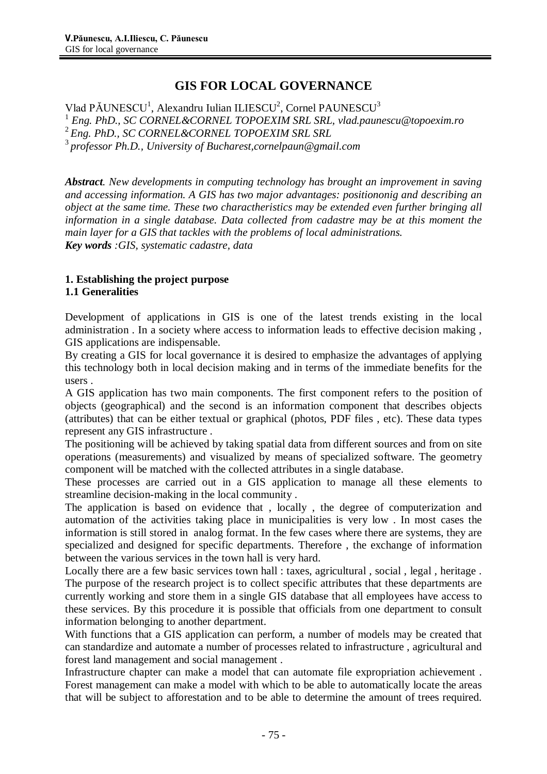## **GIS FOR LOCAL GOVERNANCE**

Vlad PĂUNESCU<sup>1</sup>, Alexandru Iulian ILIESCU<sup>2</sup>, Cornel PAUNESCU<sup>3</sup> *Eng. PhD., SC CORNEL&CORNEL TOPOEXIM SRL SRL, [vlad.paunescu@topoexim.ro](mailto:vlad.paunescu@topoexim.ro) Eng. PhD., SC CORNEL&CORNEL TOPOEXIM SRL SRL professor Ph.D., University of [Bucharest,cornelpaun@gmail.com](mailto:Bucharest,cornelpaun@gmail.com)*

*Abstract. New developments in computing technology has brought an improvement in saving and accessing information. A GIS has two major advantages: positiononig and describing an object at the same time. These two charactheristics may be extended even further bringing all information in a single database. Data collected from cadastre may be at this moment the main layer for a GIS that tackles with the problems of local administrations. Key words :GIS, systematic cadastre, data*

# **1. Establishing the project purpose**

## **1.1 Generalities**

Development of applications in GIS is one of the latest trends existing in the local administration . In a society where access to information leads to effective decision making , GIS applications are indispensable.

By creating a GIS for local governance it is desired to emphasize the advantages of applying this technology both in local decision making and in terms of the immediate benefits for the users .

A GIS application has two main components. The first component refers to the position of objects (geographical) and the second is an information component that describes objects (attributes) that can be either textual or graphical (photos, PDF files , etc). These data types represent any GIS infrastructure .

The positioning will be achieved by taking spatial data from different sources and from on site operations (measurements) and visualized by means of specialized software. The geometry component will be matched with the collected attributes in a single database.

These processes are carried out in a GIS application to manage all these elements to streamline decision-making in the local community .

The application is based on evidence that , locally , the degree of computerization and automation of the activities taking place in municipalities is very low . In most cases the information is still stored in analog format. In the few cases where there are systems, they are specialized and designed for specific departments. Therefore , the exchange of information between the various services in the town hall is very hard.

Locally there are a few basic services town hall : taxes, agricultural, social, legal, heritage. The purpose of the research project is to collect specific attributes that these departments are currently working and store them in a single GIS database that all employees have access to these services. By this procedure it is possible that officials from one department to consult information belonging to another department.

With functions that a GIS application can perform, a number of models may be created that can standardize and automate a number of processes related to infrastructure , agricultural and forest land management and social management .

Infrastructure chapter can make a model that can automate file expropriation achievement . Forest management can make a model with which to be able to automatically locate the areas that will be subject to afforestation and to be able to determine the amount of trees required.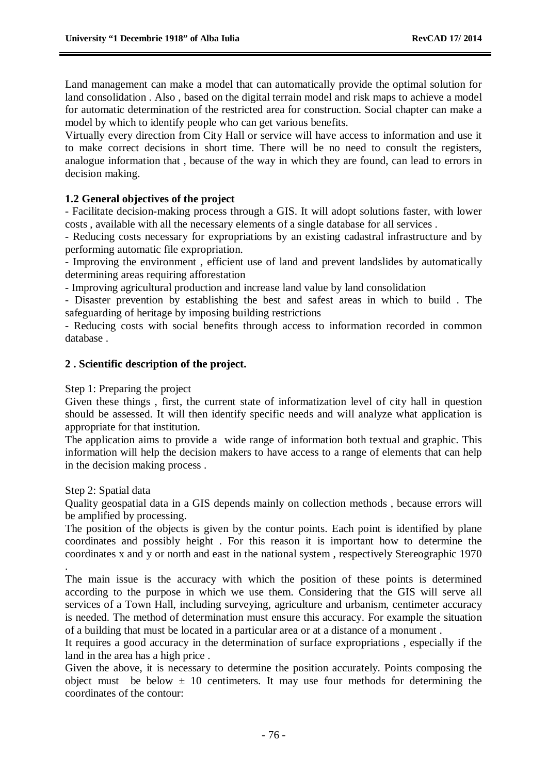Land management can make a model that can automatically provide the optimal solution for land consolidation . Also , based on the digital terrain model and risk maps to achieve a model for automatic determination of the restricted area for construction. Social chapter can make a model by which to identify people who can get various benefits.

Virtually every direction from City Hall or service will have access to information and use it to make correct decisions in short time. There will be no need to consult the registers, analogue information that , because of the way in which they are found, can lead to errors in decision making.

#### **1.2 General objectives of the project**

- Facilitate decision-making process through a GIS. It will adopt solutions faster, with lower costs , available with all the necessary elements of a single database for all services .

- Reducing costs necessary for expropriations by an existing cadastral infrastructure and by performing automatic file expropriation.

- Improving the environment , efficient use of land and prevent landslides by automatically determining areas requiring afforestation

- Improving agricultural production and increase land value by land consolidation

- Disaster prevention by establishing the best and safest areas in which to build . The safeguarding of heritage by imposing building restrictions

- Reducing costs with social benefits through access to information recorded in common database .

#### **2 . Scientific description of the project.**

#### Step 1: Preparing the project

Given these things , first, the current state of informatization level of city hall in question should be assessed. It will then identify specific needs and will analyze what application is appropriate for that institution.

The application aims to provide a wide range of information both textual and graphic. This information will help the decision makers to have access to a range of elements that can help in the decision making process .

#### Step 2: Spatial data

Quality geospatial data in a GIS depends mainly on collection methods , because errors will be amplified by processing.

The position of the objects is given by the contur points. Each point is identified by plane coordinates and possibly height . For this reason it is important how to determine the coordinates x and y or north and east in the national system , respectively Stereographic 1970

. The main issue is the accuracy with which the position of these points is determined according to the purpose in which we use them. Considering that the GIS will serve all services of a Town Hall, including surveying, agriculture and urbanism, centimeter accuracy is needed. The method of determination must ensure this accuracy. For example the situation of a building that must be located in a particular area or at a distance of a monument .

It requires a good accuracy in the determination of surface expropriations , especially if the land in the area has a high price .

Given the above, it is necessary to determine the position accurately. Points composing the object must be below  $\pm$  10 centimeters. It may use four methods for determining the coordinates of the contour: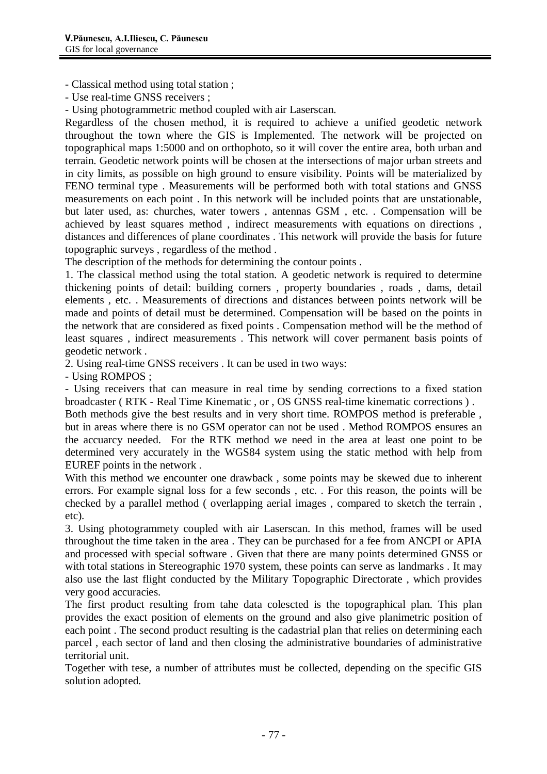- Classical method using total station ;

- Use real-time GNSS receivers ;

- Using photogrammetric method coupled with air Laserscan.

Regardless of the chosen method, it is required to achieve a unified geodetic network throughout the town where the GIS is Implemented. The network will be projected on topographical maps 1:5000 and on orthophoto, so it will cover the entire area, both urban and terrain. Geodetic network points will be chosen at the intersections of major urban streets and in city limits, as possible on high ground to ensure visibility. Points will be materialized by FENO terminal type . Measurements will be performed both with total stations and GNSS measurements on each point . In this network will be included points that are unstationable, but later used, as: churches, water towers , antennas GSM , etc. . Compensation will be achieved by least squares method , indirect measurements with equations on directions , distances and differences of plane coordinates . This network will provide the basis for future topographic surveys , regardless of the method .

The description of the methods for determining the contour points .

1. The classical method using the total station. A geodetic network is required to determine thickening points of detail: building corners , property boundaries , roads , dams, detail elements , etc. . Measurements of directions and distances between points network will be made and points of detail must be determined. Compensation will be based on the points in the network that are considered as fixed points . Compensation method will be the method of least squares , indirect measurements . This network will cover permanent basis points of geodetic network .

2. Using real-time GNSS receivers . It can be used in two ways:

- Using ROMPOS ;

- Using receivers that can measure in real time by sending corrections to a fixed station broadcaster ( RTK - Real Time Kinematic , or , OS GNSS real-time kinematic corrections ) .

Both methods give the best results and in very short time. ROMPOS method is preferable , but in areas where there is no GSM operator can not be used . Method ROMPOS ensures an the accuarcy needed. For the RTK method we need in the area at least one point to be determined very accurately in the WGS84 system using the static method with help from EUREF points in the network .

With this method we encounter one drawback , some points may be skewed due to inherent errors. For example signal loss for a few seconds , etc. . For this reason, the points will be checked by a parallel method ( overlapping aerial images , compared to sketch the terrain , etc).

3. Using photogrammety coupled with air Laserscan. In this method, frames will be used throughout the time taken in the area . They can be purchased for a fee from ANCPI or APIA and processed with special software . Given that there are many points determined GNSS or with total stations in Stereographic 1970 system, these points can serve as landmarks . It may also use the last flight conducted by the Military Topographic Directorate , which provides very good accuracies.

The first product resulting from tahe data colescted is the topographical plan. This plan provides the exact position of elements on the ground and also give planimetric position of each point . The second product resulting is the cadastrial plan that relies on determining each parcel , each sector of land and then closing the administrative boundaries of administrative territorial unit.

Together with tese, a number of attributes must be collected, depending on the specific GIS solution adopted.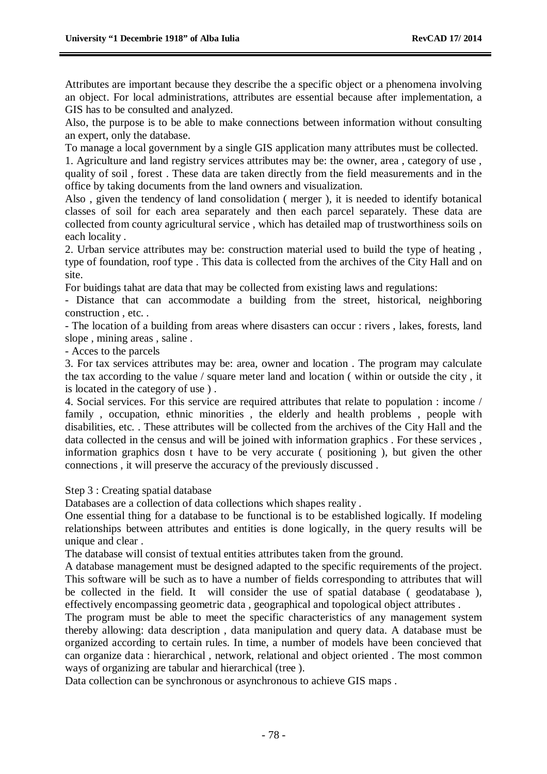Attributes are important because they describe the a specific object or a phenomena involving an object. For local administrations, attributes are essential because after implementation, a GIS has to be consulted and analyzed.

Also, the purpose is to be able to make connections between information without consulting an expert, only the database.

To manage a local government by a single GIS application many attributes must be collected.

1. Agriculture and land registry services attributes may be: the owner, area , category of use , quality of soil , forest . These data are taken directly from the field measurements and in the office by taking documents from the land owners and visualization.

Also , given the tendency of land consolidation ( merger ), it is needed to identify botanical classes of soil for each area separately and then each parcel separately. These data are collected from county agricultural service , which has detailed map of trustworthiness soils on each locality .

2. Urban service attributes may be: construction material used to build the type of heating , type of foundation, roof type . This data is collected from the archives of the City Hall and on site.

For buidings tahat are data that may be collected from existing laws and regulations:

- Distance that can accommodate a building from the street, historical, neighboring construction , etc. .

- The location of a building from areas where disasters can occur : rivers , lakes, forests, land slope , mining areas , saline .

- Acces to the parcels

3. For tax services attributes may be: area, owner and location . The program may calculate the tax according to the value / square meter land and location ( within or outside the city , it is located in the category of use ) .

4. Social services. For this service are required attributes that relate to population : income / family, occupation, ethnic minorities, the elderly and health problems, people with disabilities, etc. . These attributes will be collected from the archives of the City Hall and the data collected in the census and will be joined with information graphics . For these services , information graphics dosn t have to be very accurate ( positioning ), but given the other connections , it will preserve the accuracy of the previously discussed .

Step 3 : Creating spatial database

Databases are a collection of data collections which shapes reality .

One essential thing for a database to be functional is to be established logically. If modeling relationships between attributes and entities is done logically, in the query results will be unique and clear.

The database will consist of textual entities attributes taken from the ground.

A database management must be designed adapted to the specific requirements of the project. This software will be such as to have a number of fields corresponding to attributes that will be collected in the field. It will consider the use of spatial database ( geodatabase ), effectively encompassing geometric data , geographical and topological object attributes .

The program must be able to meet the specific characteristics of any management system thereby allowing: data description , data manipulation and query data. A database must be organized according to certain rules. In time, a number of models have been concieved that can organize data : hierarchical , network, relational and object oriented . The most common ways of organizing are tabular and hierarchical (tree ).

Data collection can be synchronous or asynchronous to achieve GIS maps .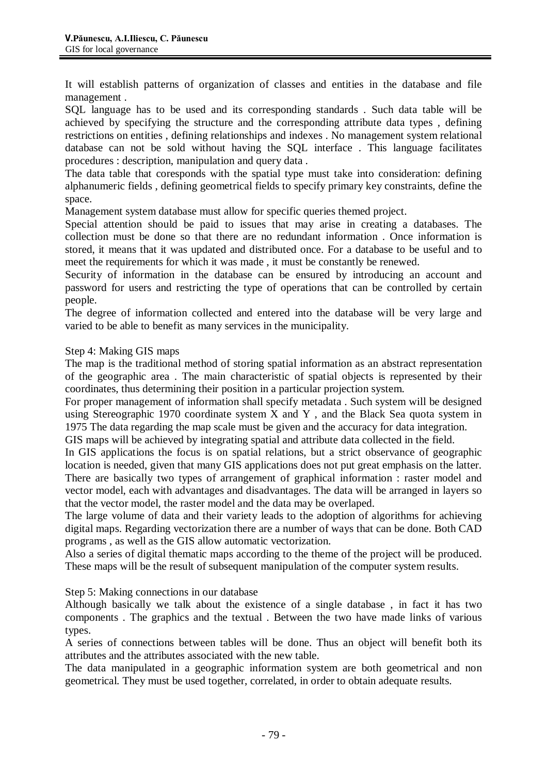It will establish patterns of organization of classes and entities in the database and file management .

SQL language has to be used and its corresponding standards . Such data table will be achieved by specifying the structure and the corresponding attribute data types , defining restrictions on entities , defining relationships and indexes . No management system relational database can not be sold without having the SQL interface . This language facilitates procedures : description, manipulation and query data .

The data table that coresponds with the spatial type must take into consideration: defining alphanumeric fields , defining geometrical fields to specify primary key constraints, define the space.

Management system database must allow for specific queries themed project.

Special attention should be paid to issues that may arise in creating a databases. The collection must be done so that there are no redundant information . Once information is stored, it means that it was updated and distributed once. For a database to be useful and to meet the requirements for which it was made , it must be constantly be renewed.

Security of information in the database can be ensured by introducing an account and password for users and restricting the type of operations that can be controlled by certain people.

The degree of information collected and entered into the database will be very large and varied to be able to benefit as many services in the municipality.

### Step 4: Making GIS maps

The map is the traditional method of storing spatial information as an abstract representation of the geographic area . The main characteristic of spatial objects is represented by their coordinates, thus determining their position in a particular projection system.

For proper management of information shall specify metadata . Such system will be designed using Stereographic 1970 coordinate system X and Y , and the Black Sea quota system in 1975 The data regarding the map scale must be given and the accuracy for data integration.

GIS maps will be achieved by integrating spatial and attribute data collected in the field.

In GIS applications the focus is on spatial relations, but a strict observance of geographic location is needed, given that many GIS applications does not put great emphasis on the latter. There are basically two types of arrangement of graphical information : raster model and vector model, each with advantages and disadvantages. The data will be arranged in layers so that the vector model, the raster model and the data may be overlaped.

The large volume of data and their variety leads to the adoption of algorithms for achieving digital maps. Regarding vectorization there are a number of ways that can be done. Both CAD programs , as well as the GIS allow automatic vectorization.

Also a series of digital thematic maps according to the theme of the project will be produced. These maps will be the result of subsequent manipulation of the computer system results.

Step 5: Making connections in our database

Although basically we talk about the existence of a single database , in fact it has two components . The graphics and the textual . Between the two have made links of various types.

A series of connections between tables will be done. Thus an object will benefit both its attributes and the attributes associated with the new table.

The data manipulated in a geographic information system are both geometrical and non geometrical. They must be used together, correlated, in order to obtain adequate results.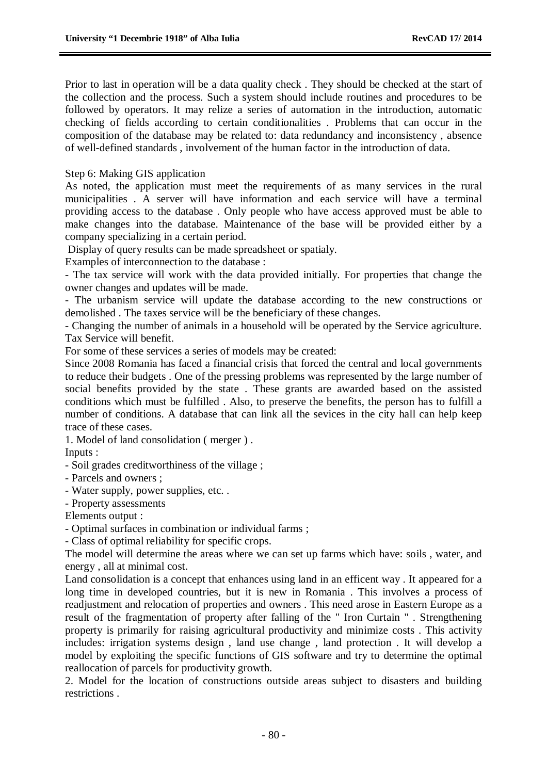Prior to last in operation will be a data quality check . They should be checked at the start of the collection and the process. Such a system should include routines and procedures to be followed by operators. It may relize a series of automation in the introduction, automatic checking of fields according to certain conditionalities . Problems that can occur in the composition of the database may be related to: data redundancy and inconsistency , absence of well-defined standards , involvement of the human factor in the introduction of data.

Step 6: Making GIS application

As noted, the application must meet the requirements of as many services in the rural municipalities . A server will have information and each service will have a terminal providing access to the database . Only people who have access approved must be able to make changes into the database. Maintenance of the base will be provided either by a company specializing in a certain period.

Display of query results can be made spreadsheet or spatialy.

Examples of interconnection to the database :

- The tax service will work with the data provided initially. For properties that change the owner changes and updates will be made.

- The urbanism service will update the database according to the new constructions or demolished . The taxes service will be the beneficiary of these changes.

- Changing the number of animals in a household will be operated by the Service agriculture. Tax Service will benefit.

For some of these services a series of models may be created:

Since 2008 Romania has faced a financial crisis that forced the central and local governments to reduce their budgets . One of the pressing problems was represented by the large number of social benefits provided by the state . These grants are awarded based on the assisted conditions which must be fulfilled . Also, to preserve the benefits, the person has to fulfill a number of conditions. A database that can link all the sevices in the city hall can help keep trace of these cases.

1. Model of land consolidation ( merger ) .

Inputs :

- Soil grades creditworthiness of the village ;

- Parcels and owners ;

- Water supply, power supplies, etc. .

- Property assessments

Elements output :

- Optimal surfaces in combination or individual farms ;

- Class of optimal reliability for specific crops.

The model will determine the areas where we can set up farms which have: soils , water, and energy , all at minimal cost.

Land consolidation is a concept that enhances using land in an efficent way . It appeared for a long time in developed countries, but it is new in Romania . This involves a process of readjustment and relocation of properties and owners . This need arose in Eastern Europe as a result of the fragmentation of property after falling of the " Iron Curtain " . Strengthening property is primarily for raising agricultural productivity and minimize costs . This activity includes: irrigation systems design , land use change , land protection . It will develop a model by exploiting the specific functions of GIS software and try to determine the optimal reallocation of parcels for productivity growth.

2. Model for the location of constructions outside areas subject to disasters and building restrictions .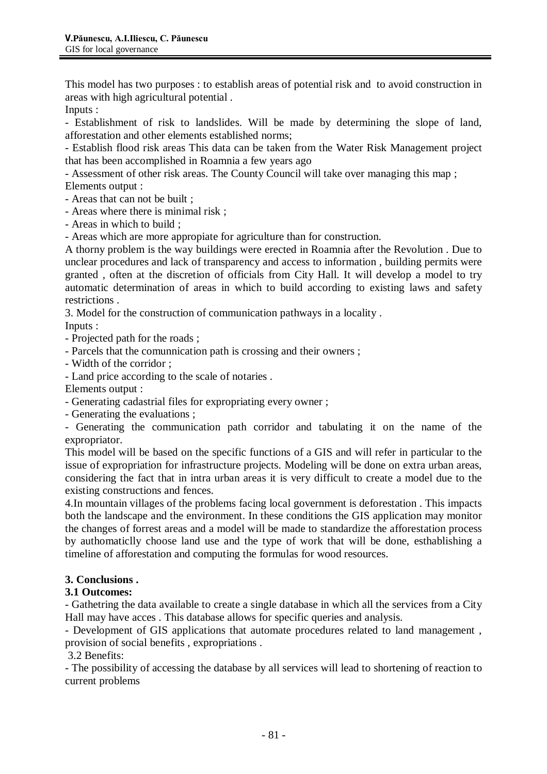This model has two purposes : to establish areas of potential risk and to avoid construction in areas with high agricultural potential .

Inputs :

- Establishment of risk to landslides. Will be made by determining the slope of land, afforestation and other elements established norms;

- Establish flood risk areas This data can be taken from the Water Risk Management project that has been accomplished in Roamnia a few years ago

- Assessment of other risk areas. The County Council will take over managing this map ; Elements output :

- Areas that can not be built ;

- Areas where there is minimal risk ;

- Areas in which to build ;

- Areas which are more appropiate for agriculture than for construction.

A thorny problem is the way buildings were erected in Roamnia after the Revolution . Due to unclear procedures and lack of transparency and access to information , building permits were granted , often at the discretion of officials from City Hall. It will develop a model to try automatic determination of areas in which to build according to existing laws and safety restrictions .

3. Model for the construction of communication pathways in a locality .

Inputs :

- Projected path for the roads ;

- Parcels that the comunnication path is crossing and their owners ;

- Width of the corridor ;

- Land price according to the scale of notaries .

Elements output :

- Generating cadastrial files for expropriating every owner ;

- Generating the evaluations ;

- Generating the communication path corridor and tabulating it on the name of the expropriator.

This model will be based on the specific functions of a GIS and will refer in particular to the issue of expropriation for infrastructure projects. Modeling will be done on extra urban areas, considering the fact that in intra urban areas it is very difficult to create a model due to the existing constructions and fences.

4.In mountain villages of the problems facing local government is deforestation . This impacts both the landscape and the environment. In these conditions the GIS application may monitor the changes of forrest areas and a model will be made to standardize the afforestation process by authomaticlly choose land use and the type of work that will be done, esthablishing a timeline of afforestation and computing the formulas for wood resources.

## **3. Conclusions .**

## **3.1 Outcomes:**

- Gathetring the data available to create a single database in which all the services from a City Hall may have acces . This database allows for specific queries and analysis.

- Development of GIS applications that automate procedures related to land management , provision of social benefits , expropriations .

3.2 Benefits:

- The possibility of accessing the database by all services will lead to shortening of reaction to current problems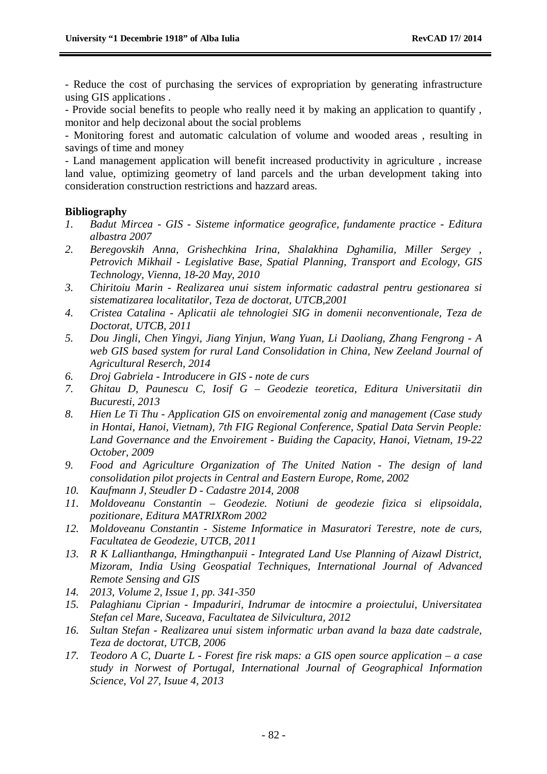- Reduce the cost of purchasing the services of expropriation by generating infrastructure using GIS applications .

- Provide social benefits to people who really need it by making an application to quantify , monitor and help decizonal about the social problems

- Monitoring forest and automatic calculation of volume and wooded areas , resulting in savings of time and money

- Land management application will benefit increased productivity in agriculture , increase land value, optimizing geometry of land parcels and the urban development taking into consideration construction restrictions and hazzard areas.

#### **Bibliography**

- *1. Badut Mircea - GIS - Sisteme informatice geografice, fundamente practice - Editura albastra 2007*
- *2. Beregovskih Anna, Grishechkina Irina, Shalakhina Dghamilia, Miller Sergey , Petrovich Mikhail - Legislative Base, Spatial Planning, Transport and Ecology, GIS Technology, Vienna, 18-20 May, 2010*
- *3. Chiritoiu Marin - Realizarea unui sistem informatic cadastral pentru gestionarea si sistematizarea localitatilor, Teza de doctorat, UTCB,2001*
- *4. Cristea Catalina - Aplicatii ale tehnologiei SIG in domenii neconventionale, Teza de Doctorat, UTCB, 2011*
- *5. Dou Jingli, Chen Yingyi, Jiang Yinjun, Wang Yuan, Li Daoliang, Zhang Fengrong - A web GIS based system for rural Land Consolidation in China, New Zeeland Journal of Agricultural Reserch, 2014*
- *6. Droj Gabriela - Introducere in GIS - note de curs*
- *7. Ghitau D, Paunescu C, Iosif G – Geodezie teoretica, Editura Universitatii din Bucuresti, 2013*
- *8. Hien Le Ti Thu - Application GIS on envoiremental zonig and management (Case study in Hontai, Hanoi, Vietnam), 7th FIG Regional Conference, Spatial Data Servin People: Land Governance and the Envoirement - Buiding the Capacity, Hanoi, Vietnam, 19-22 October, 2009*
- *9. Food and Agriculture Organization of The United Nation - The design of land consolidation pilot projects in Central and Eastern Europe, Rome, 2002*
- *10. Kaufmann J, Steudler D - Cadastre 2014, 2008*
- *11. Moldoveanu Constantin – Geodezie. Notiuni de geodezie fizica si elipsoidala, pozitionare, Editura MATRIXRom 2002*
- *12. Moldoveanu Constantin - Sisteme Informatice in Masuratori Terestre, note de curs, Facultatea de Geodezie, UTCB, 2011*
- *13. R K Lallianthanga, Hmingthanpuii - Integrated Land Use Planning of Aizawl District, Mizoram, India Using Geospatial Techniques, International Journal of Advanced Remote Sensing and GIS*
- *14. 2013, Volume 2, Issue 1, pp. 341-350*
- *15. Palaghianu Ciprian - Impaduriri, Indrumar de intocmire a proiectului, Universitatea Stefan cel Mare, Suceava, Facultatea de Silvicultura, 2012*
- *16. Sultan Stefan - Realizarea unui sistem informatic urban avand la baza date cadstrale, Teza de doctorat, UTCB, 2006*
- *17. Teodoro A C, Duarte L - Forest fire risk maps: a GIS open source application – a case study in Norwest of Portugal, International Journal of Geographical Information Science, Vol 27, Isuue 4, 2013*